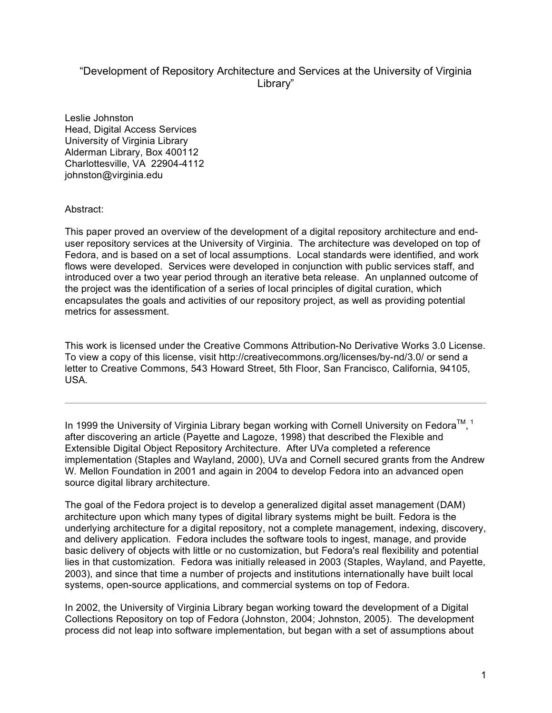## "Development of Repository Architecture and Services at the University of Virginia Library"

Leslie Johnston Head, Digital Access Services University of Virginia Library Alderman Library, Box 400112 Charlottesville, VA 22904-4112 johnston@virginia.edu

## Abstract:

This paper proved an overview of the development of a digital repository architecture and enduser repository services at the University of Virginia. The architecture was developed on top of Fedora, and is based on a set of local assumptions. Local standards were identified, and work flows were developed. Services were developed in conjunction with public services staff, and introduced over a two year period through an iterative beta release. An unplanned outcome of the project was the identification of a series of local principles of digital curation, which encapsulates the goals and activities of our repository project, as well as providing potential metrics for assessment.

This work is licensed under the Creative Commons Attribution-No Derivative Works 3.0 License. To view a copy of this license, visit http://creativecommons.org/licenses/by-nd/3.0/ or send a letter to Creative Commons, 543 Howard Street, 5th Floor, San Francisco, California, 94105, USA.

In 1999 the University of Virginia Library began working with Cornell University on Fedora<sup>TM</sup>.<sup>1</sup> after discovering an article (Payette and Lagoze, 1998) that described the Flexible and Extensible Digital Object Repository Architecture. After UVa completed a reference implementation (Staples and Wayland, 2000), UVa and Cornell secured grants from the Andrew W. Mellon Foundation in 2001 and again in 2004 to develop Fedora into an advanced open source digital library architecture.

The goal of the Fedora project is to develop a generalized digital asset management (DAM) architecture upon which many types of digital library systems might be built. Fedora is the underlying architecture for a digital repository, not a complete management, indexing, discovery, and delivery application. Fedora includes the software tools to ingest, manage, and provide basic delivery of objects with little or no customization, but Fedora's real flexibility and potential lies in that customization. Fedora was initially released in 2003 (Staples, Wayland, and Payette, 2003), and since that time a number of projects and institutions internationally have built local systems, open-source applications, and commercial systems on top of Fedora.

In 2002, the University of Virginia Library began working toward the development of a Digital Collections Repository on top of Fedora (Johnston, 2004; Johnston, 2005). The development process did not leap into software implementation, but began with a set of assumptions about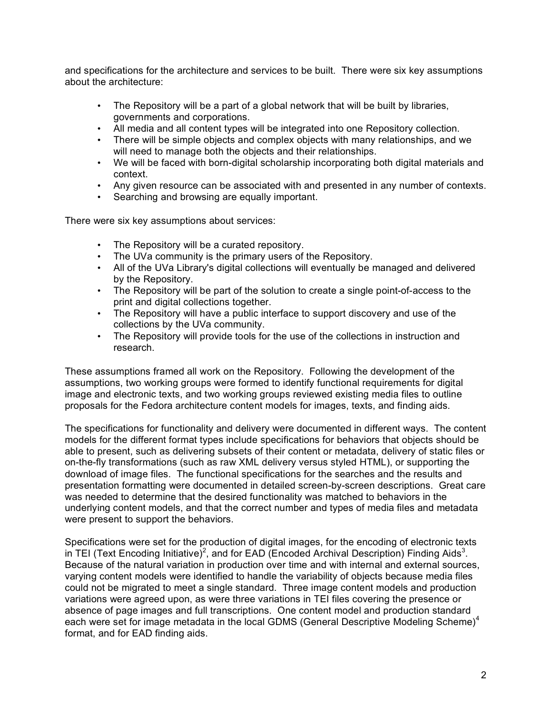and specifications for the architecture and services to be built. There were six key assumptions about the architecture:

- The Repository will be a part of a global network that will be built by libraries, governments and corporations.
- All media and all content types will be integrated into one Repository collection.
- There will be simple objects and complex objects with many relationships, and we will need to manage both the objects and their relationships.
- We will be faced with born-digital scholarship incorporating both digital materials and context.
- Any given resource can be associated with and presented in any number of contexts.
- Searching and browsing are equally important.

There were six key assumptions about services:

- The Repository will be a curated repository.
- The UVa community is the primary users of the Repository.
- All of the UVa Library's digital collections will eventually be managed and delivered by the Repository.
- The Repository will be part of the solution to create a single point-of-access to the print and digital collections together.
- The Repository will have a public interface to support discovery and use of the collections by the UVa community.
- The Repository will provide tools for the use of the collections in instruction and research.

These assumptions framed all work on the Repository. Following the development of the assumptions, two working groups were formed to identify functional requirements for digital image and electronic texts, and two working groups reviewed existing media files to outline proposals for the Fedora architecture content models for images, texts, and finding aids.

The specifications for functionality and delivery were documented in different ways. The content models for the different format types include specifications for behaviors that objects should be able to present, such as delivering subsets of their content or metadata, delivery of static files or on-the-fly transformations (such as raw XML delivery versus styled HTML), or supporting the download of image files. The functional specifications for the searches and the results and presentation formatting were documented in detailed screen-by-screen descriptions. Great care was needed to determine that the desired functionality was matched to behaviors in the underlying content models, and that the correct number and types of media files and metadata were present to support the behaviors.

Specifications were set for the production of digital images, for the encoding of electronic texts in TEI (Text Encoding Initiative)<sup>2</sup>, and for EAD (Encoded Archival Description) Finding Aids<sup>3</sup>. Because of the natural variation in production over time and with internal and external sources, varying content models were identified to handle the variability of objects because media files could not be migrated to meet a single standard. Three image content models and production variations were agreed upon, as were three variations in TEI files covering the presence or absence of page images and full transcriptions. One content model and production standard each were set for image metadata in the local GDMS (General Descriptive Modeling Scheme)<sup>4</sup> format, and for EAD finding aids.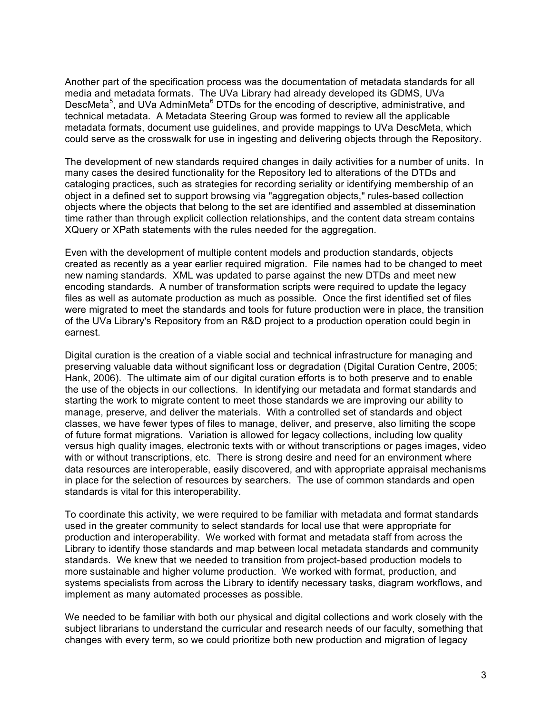Another part of the specification process was the documentation of metadata standards for all media and metadata formats. The UVa Library had already developed its GDMS, UVa DescMeta<sup>5</sup>, and UVa AdminMeta<sup>6</sup> DTDs for the encoding of descriptive, administrative, and technical metadata. A Metadata Steering Group was formed to review all the applicable metadata formats, document use guidelines, and provide mappings to UVa DescMeta, which could serve as the crosswalk for use in ingesting and delivering objects through the Repository.

The development of new standards required changes in daily activities for a number of units. In many cases the desired functionality for the Repository led to alterations of the DTDs and cataloging practices, such as strategies for recording seriality or identifying membership of an object in a defined set to support browsing via "aggregation objects," rules-based collection objects where the objects that belong to the set are identified and assembled at dissemination time rather than through explicit collection relationships, and the content data stream contains XQuery or XPath statements with the rules needed for the aggregation.

Even with the development of multiple content models and production standards, objects created as recently as a year earlier required migration. File names had to be changed to meet new naming standards. XML was updated to parse against the new DTDs and meet new encoding standards. A number of transformation scripts were required to update the legacy files as well as automate production as much as possible. Once the first identified set of files were migrated to meet the standards and tools for future production were in place, the transition of the UVa Library's Repository from an R&D project to a production operation could begin in earnest.

Digital curation is the creation of a viable social and technical infrastructure for managing and preserving valuable data without significant loss or degradation (Digital Curation Centre, 2005; Hank, 2006). The ultimate aim of our digital curation efforts is to both preserve and to enable the use of the objects in our collections. In identifying our metadata and format standards and starting the work to migrate content to meet those standards we are improving our ability to manage, preserve, and deliver the materials. With a controlled set of standards and object classes, we have fewer types of files to manage, deliver, and preserve, also limiting the scope of future format migrations. Variation is allowed for legacy collections, including low quality versus high quality images, electronic texts with or without transcriptions or pages images, video with or without transcriptions, etc. There is strong desire and need for an environment where data resources are interoperable, easily discovered, and with appropriate appraisal mechanisms in place for the selection of resources by searchers. The use of common standards and open standards is vital for this interoperability.

To coordinate this activity, we were required to be familiar with metadata and format standards used in the greater community to select standards for local use that were appropriate for production and interoperability. We worked with format and metadata staff from across the Library to identify those standards and map between local metadata standards and community standards. We knew that we needed to transition from project-based production models to more sustainable and higher volume production. We worked with format, production, and systems specialists from across the Library to identify necessary tasks, diagram workflows, and implement as many automated processes as possible.

We needed to be familiar with both our physical and digital collections and work closely with the subject librarians to understand the curricular and research needs of our faculty, something that changes with every term, so we could prioritize both new production and migration of legacy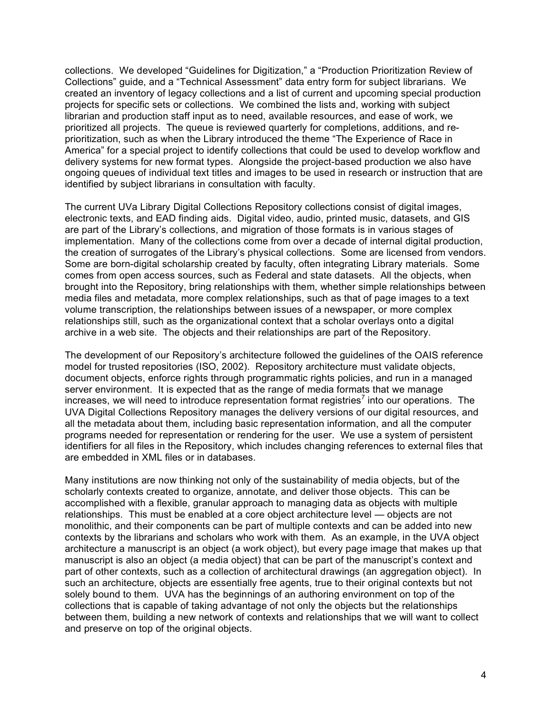collections. We developed "Guidelines for Digitization," a "Production Prioritization Review of Collections" guide, and a "Technical Assessment" data entry form for subject librarians. We created an inventory of legacy collections and a list of current and upcoming special production projects for specific sets or collections. We combined the lists and, working with subject librarian and production staff input as to need, available resources, and ease of work, we prioritized all projects. The queue is reviewed quarterly for completions, additions, and reprioritization, such as when the Library introduced the theme "The Experience of Race in America" for a special project to identify collections that could be used to develop workflow and delivery systems for new format types. Alongside the project-based production we also have ongoing queues of individual text titles and images to be used in research or instruction that are identified by subject librarians in consultation with faculty.

The current UVa Library Digital Collections Repository collections consist of digital images, electronic texts, and EAD finding aids. Digital video, audio, printed music, datasets, and GIS are part of the Library's collections, and migration of those formats is in various stages of implementation. Many of the collections come from over a decade of internal digital production, the creation of surrogates of the Library's physical collections. Some are licensed from vendors. Some are born-digital scholarship created by faculty, often integrating Library materials. Some comes from open access sources, such as Federal and state datasets. All the objects, when brought into the Repository, bring relationships with them, whether simple relationships between media files and metadata, more complex relationships, such as that of page images to a text volume transcription, the relationships between issues of a newspaper, or more complex relationships still, such as the organizational context that a scholar overlays onto a digital archive in a web site. The objects and their relationships are part of the Repository.

The development of our Repository's architecture followed the guidelines of the OAIS reference model for trusted repositories (ISO, 2002). Repository architecture must validate objects, document objects, enforce rights through programmatic rights policies, and run in a managed server environment. It is expected that as the range of media formats that we manage increases, we will need to introduce representation format registries<sup>7</sup> into our operations. The UVA Digital Collections Repository manages the delivery versions of our digital resources, and all the metadata about them, including basic representation information, and all the computer programs needed for representation or rendering for the user. We use a system of persistent identifiers for all files in the Repository, which includes changing references to external files that are embedded in XML files or in databases.

Many institutions are now thinking not only of the sustainability of media objects, but of the scholarly contexts created to organize, annotate, and deliver those objects. This can be accomplished with a flexible, granular approach to managing data as objects with multiple relationships. This must be enabled at a core object architecture level — objects are not monolithic, and their components can be part of multiple contexts and can be added into new contexts by the librarians and scholars who work with them. As an example, in the UVA object architecture a manuscript is an object (a work object), but every page image that makes up that manuscript is also an object (a media object) that can be part of the manuscript's context and part of other contexts, such as a collection of architectural drawings (an aggregation object). In such an architecture, objects are essentially free agents, true to their original contexts but not solely bound to them. UVA has the beginnings of an authoring environment on top of the collections that is capable of taking advantage of not only the objects but the relationships between them, building a new network of contexts and relationships that we will want to collect and preserve on top of the original objects.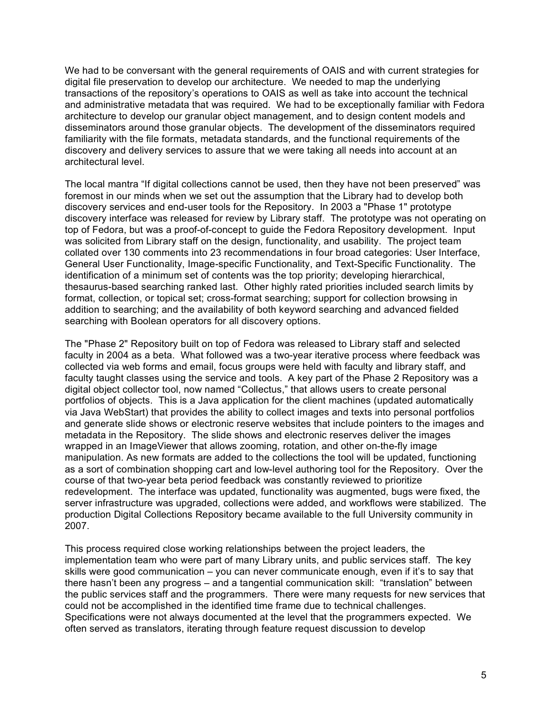We had to be conversant with the general requirements of OAIS and with current strategies for digital file preservation to develop our architecture. We needed to map the underlying transactions of the repository's operations to OAIS as well as take into account the technical and administrative metadata that was required. We had to be exceptionally familiar with Fedora architecture to develop our granular object management, and to design content models and disseminators around those granular objects. The development of the disseminators required familiarity with the file formats, metadata standards, and the functional requirements of the discovery and delivery services to assure that we were taking all needs into account at an architectural level.

The local mantra "If digital collections cannot be used, then they have not been preserved" was foremost in our minds when we set out the assumption that the Library had to develop both discovery services and end-user tools for the Repository. In 2003 a "Phase 1" prototype discovery interface was released for review by Library staff. The prototype was not operating on top of Fedora, but was a proof-of-concept to guide the Fedora Repository development. Input was solicited from Library staff on the design, functionality, and usability. The project team collated over 130 comments into 23 recommendations in four broad categories: User Interface, General User Functionality, Image-specific Functionality, and Text-Specific Functionality. The identification of a minimum set of contents was the top priority; developing hierarchical, thesaurus-based searching ranked last. Other highly rated priorities included search limits by format, collection, or topical set; cross-format searching; support for collection browsing in addition to searching; and the availability of both keyword searching and advanced fielded searching with Boolean operators for all discovery options.

The "Phase 2" Repository built on top of Fedora was released to Library staff and selected faculty in 2004 as a beta. What followed was a two-year iterative process where feedback was collected via web forms and email, focus groups were held with faculty and library staff, and faculty taught classes using the service and tools. A key part of the Phase 2 Repository was a digital object collector tool, now named "Collectus," that allows users to create personal portfolios of objects. This is a Java application for the client machines (updated automatically via Java WebStart) that provides the ability to collect images and texts into personal portfolios and generate slide shows or electronic reserve websites that include pointers to the images and metadata in the Repository. The slide shows and electronic reserves deliver the images wrapped in an ImageViewer that allows zooming, rotation, and other on-the-fly image manipulation. As new formats are added to the collections the tool will be updated, functioning as a sort of combination shopping cart and low-level authoring tool for the Repository. Over the course of that two-year beta period feedback was constantly reviewed to prioritize redevelopment. The interface was updated, functionality was augmented, bugs were fixed, the server infrastructure was upgraded, collections were added, and workflows were stabilized. The production Digital Collections Repository became available to the full University community in 2007.

This process required close working relationships between the project leaders, the implementation team who were part of many Library units, and public services staff. The key skills were good communication – you can never communicate enough, even if it's to say that there hasn't been any progress – and a tangential communication skill: "translation" between the public services staff and the programmers. There were many requests for new services that could not be accomplished in the identified time frame due to technical challenges. Specifications were not always documented at the level that the programmers expected. We often served as translators, iterating through feature request discussion to develop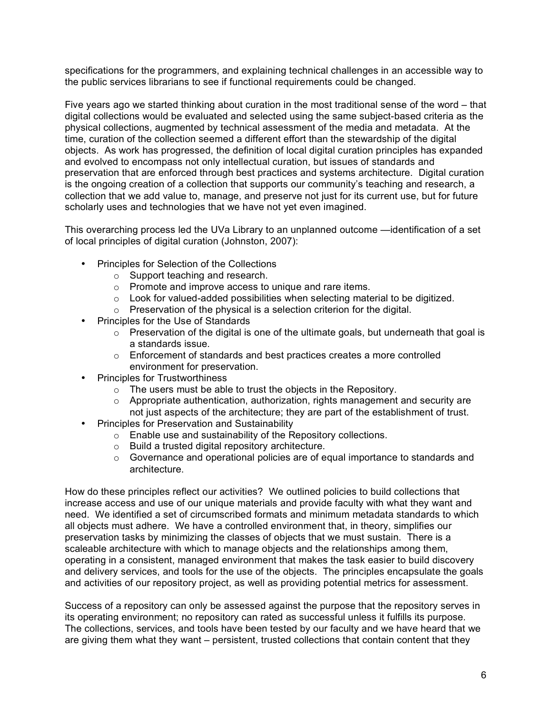specifications for the programmers, and explaining technical challenges in an accessible way to the public services librarians to see if functional requirements could be changed.

Five years ago we started thinking about curation in the most traditional sense of the word – that digital collections would be evaluated and selected using the same subject-based criteria as the physical collections, augmented by technical assessment of the media and metadata. At the time, curation of the collection seemed a different effort than the stewardship of the digital objects. As work has progressed, the definition of local digital curation principles has expanded and evolved to encompass not only intellectual curation, but issues of standards and preservation that are enforced through best practices and systems architecture. Digital curation is the ongoing creation of a collection that supports our community's teaching and research, a collection that we add value to, manage, and preserve not just for its current use, but for future scholarly uses and technologies that we have not yet even imagined.

This overarching process led the UVa Library to an unplanned outcome —identification of a set of local principles of digital curation (Johnston, 2007):

- Principles for Selection of the Collections
	- o Support teaching and research.
	- o Promote and improve access to unique and rare items.
	- o Look for valued-added possibilities when selecting material to be digitized.
	- $\circ$  Preservation of the physical is a selection criterion for the digital.
- Principles for the Use of Standards
	- $\circ$  Preservation of the digital is one of the ultimate goals, but underneath that goal is a standards issue.
	- o Enforcement of standards and best practices creates a more controlled environment for preservation.
- Principles for Trustworthiness
	- o The users must be able to trust the objects in the Repository.
	- o Appropriate authentication, authorization, rights management and security are not just aspects of the architecture; they are part of the establishment of trust.
- Principles for Preservation and Sustainability
	- o Enable use and sustainability of the Repository collections.
	- o Build a trusted digital repository architecture.
	- $\circ$  Governance and operational policies are of equal importance to standards and architecture.

How do these principles reflect our activities? We outlined policies to build collections that increase access and use of our unique materials and provide faculty with what they want and need. We identified a set of circumscribed formats and minimum metadata standards to which all objects must adhere. We have a controlled environment that, in theory, simplifies our preservation tasks by minimizing the classes of objects that we must sustain. There is a scaleable architecture with which to manage objects and the relationships among them, operating in a consistent, managed environment that makes the task easier to build discovery and delivery services, and tools for the use of the objects. The principles encapsulate the goals and activities of our repository project, as well as providing potential metrics for assessment.

Success of a repository can only be assessed against the purpose that the repository serves in its operating environment; no repository can rated as successful unless it fulfills its purpose. The collections, services, and tools have been tested by our faculty and we have heard that we are giving them what they want – persistent, trusted collections that contain content that they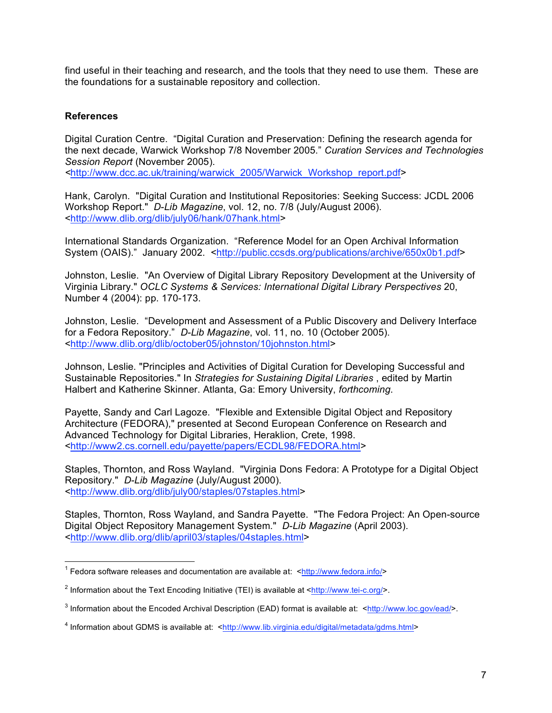find useful in their teaching and research, and the tools that they need to use them. These are the foundations for a sustainable repository and collection.

## **References**

Digital Curation Centre. "Digital Curation and Preservation: Defining the research agenda for the next decade, Warwick Workshop 7/8 November 2005." *Curation Services and Technologies Session Report* (November 2005).

*<*http://www.dcc.ac.uk/training/warwick\_2005/Warwick\_Workshop\_report.pdf>

Hank, Carolyn. "Digital Curation and Institutional Repositories: Seeking Success: JCDL 2006 Workshop Report." *D-Lib Magazine*, vol. 12, no. 7/8 (July/August 2006). <http://www.dlib.org/dlib/july06/hank/07hank.html>

International Standards Organization. "Reference Model for an Open Archival Information System (OAIS)." January 2002. <http://public.ccsds.org/publications/archive/650x0b1.pdf>

Johnston, Leslie. "An Overview of Digital Library Repository Development at the University of Virginia Library." *OCLC Systems & Services: International Digital Library Perspectives* 20, Number 4 (2004): pp. 170-173.

Johnston, Leslie. "Development and Assessment of a Public Discovery and Delivery Interface for a Fedora Repository." *D-Lib Magazine*, vol. 11, no. 10 (October 2005). <http://www.dlib.org/dlib/october05/johnston/10johnston.html>

Johnson, Leslie. "Principles and Activities of Digital Curation for Developing Successful and Sustainable Repositories." In *Strategies for Sustaining Digital Libraries* , edited by Martin Halbert and Katherine Skinner. Atlanta, Ga: Emory University, *forthcoming*.

Payette, Sandy and Carl Lagoze. "Flexible and Extensible Digital Object and Repository Architecture (FEDORA)," presented at Second European Conference on Research and Advanced Technology for Digital Libraries, Heraklion, Crete, 1998. <http://www2.cs.cornell.edu/payette/papers/ECDL98/FEDORA.html>

Staples, Thornton, and Ross Wayland. "Virginia Dons Fedora: A Prototype for a Digital Object Repository." *D-Lib Magazine* (July/August 2000). <http://www.dlib.org/dlib/july00/staples/07staples.html>

Staples, Thornton, Ross Wayland, and Sandra Payette. "The Fedora Project: An Open-source Digital Object Repository Management System." *D-Lib Magazine* (April 2003). <http://www.dlib.org/dlib/april03/staples/04staples.html>

<sup>&</sup>lt;sup>1</sup> Fedora software releases and documentation are available at:  $\lt{http://www.fedora.info/>}$ 

<sup>&</sup>lt;sup>2</sup> Information about the Text Encoding Initiative (TEI) is available at  $\frac{http://www.tei-c.org/>}{http://www.tei-c.org/>}.$ 

<sup>&</sup>lt;sup>3</sup> Information about the Encoded Archival Description (EAD) format is available at: <http://www.loc.gov/ead/>.

<sup>&</sup>lt;sup>4</sup> Information about GDMS is available at: <http://www.lib.virginia.edu/digital/metadata/gdms.html>